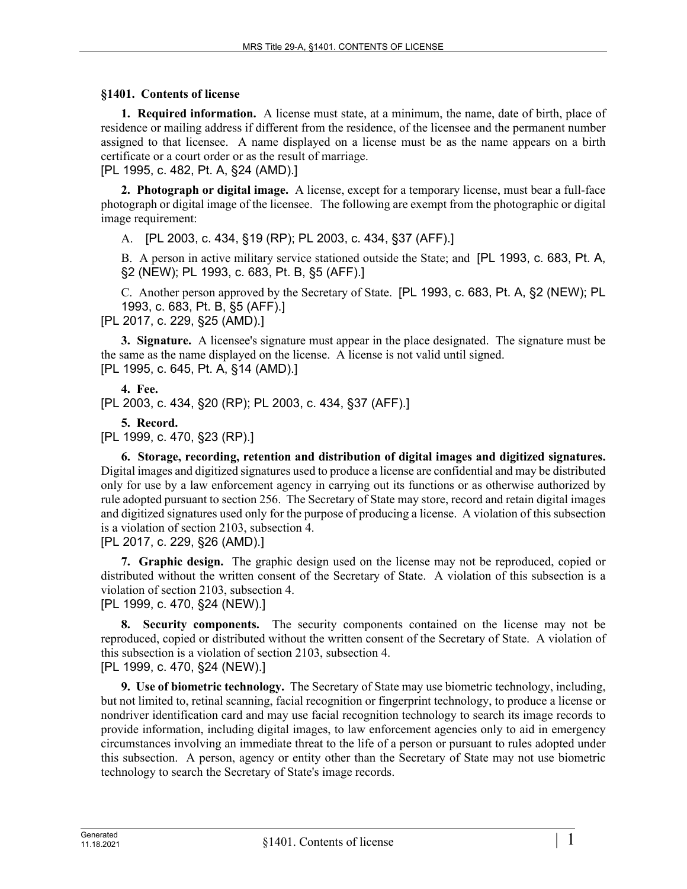## **§1401. Contents of license**

**1. Required information.** A license must state, at a minimum, the name, date of birth, place of residence or mailing address if different from the residence, of the licensee and the permanent number assigned to that licensee. A name displayed on a license must be as the name appears on a birth certificate or a court order or as the result of marriage.

[PL 1995, c. 482, Pt. A, §24 (AMD).]

**2. Photograph or digital image.** A license, except for a temporary license, must bear a full-face photograph or digital image of the licensee. The following are exempt from the photographic or digital image requirement:

A. [PL 2003, c. 434, §19 (RP); PL 2003, c. 434, §37 (AFF).]

B. A person in active military service stationed outside the State; and [PL 1993, c. 683, Pt. A, §2 (NEW); PL 1993, c. 683, Pt. B, §5 (AFF).]

C. Another person approved by the Secretary of State. [PL 1993, c. 683, Pt. A, §2 (NEW); PL 1993, c. 683, Pt. B, §5 (AFF).]

[PL 2017, c. 229, §25 (AMD).]

**3. Signature.** A licensee's signature must appear in the place designated. The signature must be the same as the name displayed on the license. A license is not valid until signed. [PL 1995, c. 645, Pt. A, §14 (AMD).]

**4. Fee.**  [PL 2003, c. 434, §20 (RP); PL 2003, c. 434, §37 (AFF).]

**5. Record.**  [PL 1999, c. 470, §23 (RP).]

**6. Storage, recording, retention and distribution of digital images and digitized signatures.**  Digital images and digitized signatures used to produce a license are confidential and may be distributed only for use by a law enforcement agency in carrying out its functions or as otherwise authorized by rule adopted pursuant to section 256. The Secretary of State may store, record and retain digital images and digitized signatures used only for the purpose of producing a license. A violation of this subsection is a violation of section 2103, subsection 4.

[PL 2017, c. 229, §26 (AMD).]

**7. Graphic design.** The graphic design used on the license may not be reproduced, copied or distributed without the written consent of the Secretary of State. A violation of this subsection is a violation of section 2103, subsection 4.

[PL 1999, c. 470, §24 (NEW).]

**8. Security components.** The security components contained on the license may not be reproduced, copied or distributed without the written consent of the Secretary of State. A violation of this subsection is a violation of section 2103, subsection 4. [PL 1999, c. 470, §24 (NEW).]

**9. Use of biometric technology.** The Secretary of State may use biometric technology, including, but not limited to, retinal scanning, facial recognition or fingerprint technology, to produce a license or nondriver identification card and may use facial recognition technology to search its image records to provide information, including digital images, to law enforcement agencies only to aid in emergency circumstances involving an immediate threat to the life of a person or pursuant to rules adopted under this subsection. A person, agency or entity other than the Secretary of State may not use biometric technology to search the Secretary of State's image records.